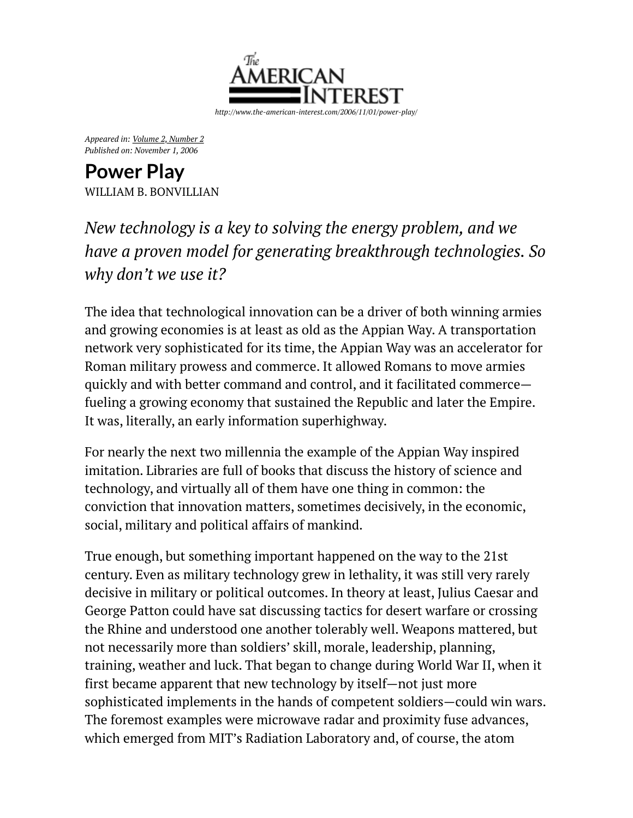

*Appeared in: [Volume 2, Number 2](http://www.the-american-interest.com/back-issue-toc/?i=1236) Published on: November 1, 2006*

**Power Play** [WILLIAM B. BONVILLIAN](http://www.the-american-interest.com/byline/william-b-bonvillian/)

*New technology is a key to solving the energy problem, and we have a proven model for generating breakthrough technologies. So why don't we use it?*

The idea that technological innovation can be a driver of both winning armies and growing economies is at least as old as the Appian Way. A transportation network very sophisticated for its time, the Appian Way was an accelerator for Roman military prowess and commerce. It allowed Romans to move armies quickly and with better command and control, and it facilitated commerce fueling a growing economy that sustained the Republic and later the Empire. It was, literally, an early information superhighway.

For nearly the next two millennia the example of the Appian Way inspired imitation. Libraries are full of books that discuss the history of science and technology, and virtually all of them have one thing in common: the conviction that innovation matters, sometimes decisively, in the economic, social, military and political affairs of mankind.

True enough, but something important happened on the way to the 21st century. Even as military technology grew in lethality, it was still very rarely decisive in military or political outcomes. In theory at least, Julius Caesar and George Patton could have sat discussing tactics for desert warfare or crossing the Rhine and understood one another tolerably well. Weapons mattered, but not necessarily more than soldiers' skill, morale, leadership, planning, training, weather and luck. That began to change during World War II, when it first became apparent that new technology by itself—not just more sophisticated implements in the hands of competent soldiers—could win wars. The foremost examples were microwave radar and proximity fuse advances, which emerged from MIT's Radiation Laboratory and, of course, the atom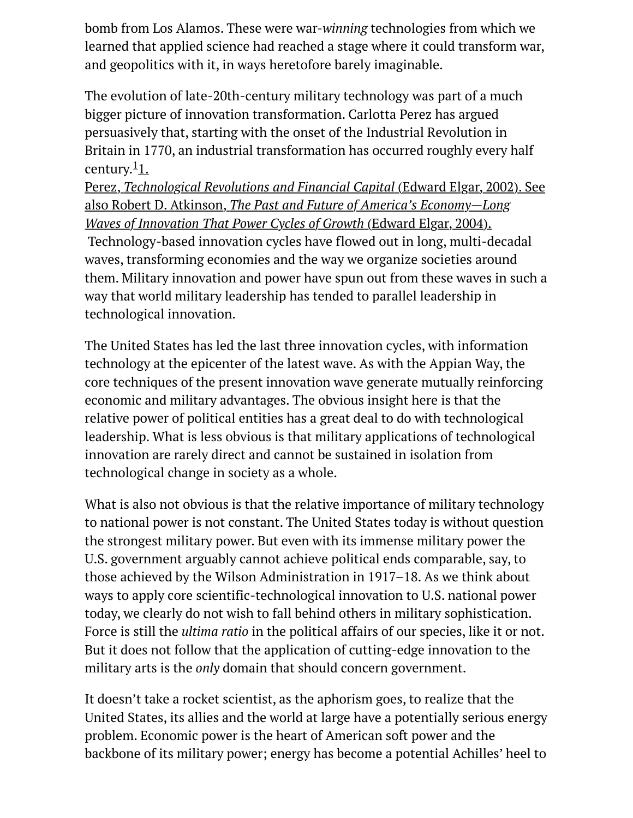bomb from Los Alamos. These were war-*winning* technologies from which we learned that applied science had reached a stage where it could transform war, and geopolitics with it, in ways heretofore barely imaginable.

The evolution of late-20th-century military technology was part of a much bigger picture of innovation transformation. Carlotta Perez has argued persuasively that, starting with the onset of the Industrial Revolution in Britain in 1770, an industrial transformation has occurred roughly every half century. $\frac{1}{1}$ .

Perez, *Technological Revolutions and Financial Capital* (Edward Elgar, 2002). See also Robert D. Atkinson, *[The Past and Future of America's Economy—Long](http://www.the-american-interest.com/2006/11/01/power-play/#footer) Waves of Innovation That Power Cycles of Growth* (Edward Elgar, 2004). Technology-based innovation cycles have flowed out in long, multi-decadal waves, transforming economies and the way we organize societies around them. Military innovation and power have spun out from these waves in such a way that world military leadership has tended to parallel leadership in technological innovation.

The United States has led the last three innovation cycles, with information technology at the epicenter of the latest wave. As with the Appian Way, the core techniques of the present innovation wave generate mutually reinforcing economic and military advantages. The obvious insight here is that the relative power of political entities has a great deal to do with technological leadership. What is less obvious is that military applications of technological innovation are rarely direct and cannot be sustained in isolation from technological change in society as a whole.

What is also not obvious is that the relative importance of military technology to national power is not constant. The United States today is without question the strongest military power. But even with its immense military power the U.S. government arguably cannot achieve political ends comparable, say, to those achieved by the Wilson Administration in 1917–18. As we think about ways to apply core scientific-technological innovation to U.S. national power today, we clearly do not wish to fall behind others in military sophistication. Force is still the *ultima ratio* in the political affairs of our species, like it or not. But it does not follow that the application of cutting-edge innovation to the military arts is the *only* domain that should concern government.

It doesn't take a rocket scientist, as the aphorism goes, to realize that the United States, its allies and the world at large have a potentially serious energy problem. Economic power is the heart of American soft power and the backbone of its military power; energy has become a potential Achilles' heel to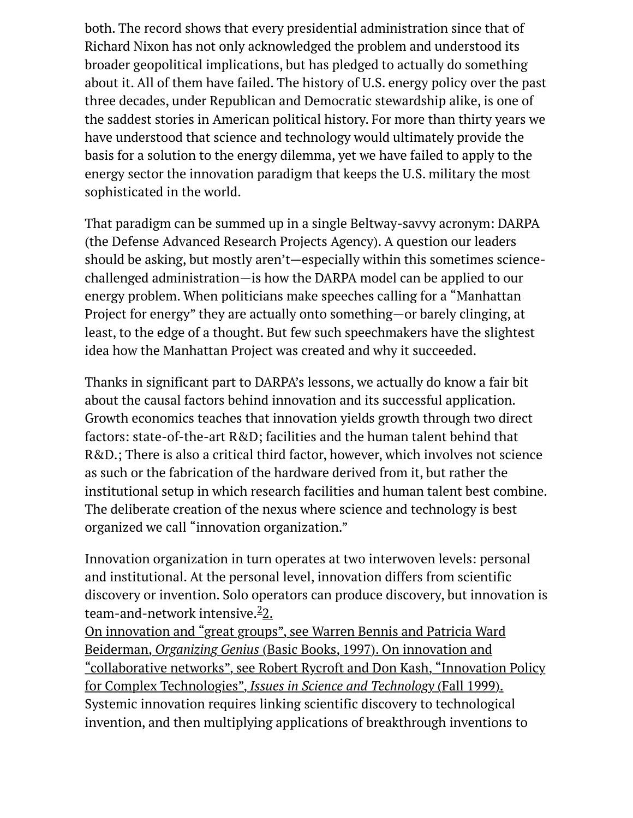both. The record shows that every presidential administration since that of Richard Nixon has not only acknowledged the problem and understood its broader geopolitical implications, but has pledged to actually do something about it. All of them have failed. The history of U.S. energy policy over the past three decades, under Republican and Democratic stewardship alike, is one of the saddest stories in American political history. For more than thirty years we have understood that science and technology would ultimately provide the basis for a solution to the energy dilemma, yet we have failed to apply to the energy sector the innovation paradigm that keeps the U.S. military the most sophisticated in the world.

That paradigm can be summed up in a single Beltway-savvy acronym: DARPA (the Defense Advanced Research Projects Agency). A question our leaders should be asking, but mostly aren't—especially within this sometimes sciencechallenged administration—is how the DARPA model can be applied to our energy problem. When politicians make speeches calling for a "Manhattan Project for energy" they are actually onto something—or barely clinging, at least, to the edge of a thought. But few such speechmakers have the slightest idea how the Manhattan Project was created and why it succeeded.

Thanks in significant part to DARPA's lessons, we actually do know a fair bit about the causal factors behind innovation and its successful application. Growth economics teaches that innovation yields growth through two direct factors: state-of-the-art R&D; facilities and the human talent behind that R&D.; There is also a critical third factor, however, which involves not science as such or the fabrication of the hardware derived from it, but rather the institutional setup in which research facilities and human talent best combine. The deliberate creation of the nexus where science and technology is best organized we call "innovation organization."

Innovation organization in turn operates at two interwoven levels: personal and institutional. At the personal level, innovation differs from scientific discovery or invention. Solo operators can produce discovery, but innovation is team-and-network intensive.<sup>2</sup>2.

On innovation and "great groups", see Warren Bennis and Patricia Ward Beiderman, *Organizing Genius* (Basic Books, 1997). On innovation and ["collaborative networks", see Robert Rycroft and Don Kash, "Innovation Policy](http://www.the-american-interest.com/2006/11/01/power-play/#footer) for Complex Technologies", *Issues in Science and Technology* (Fall 1999). Systemic innovation requires linking scientific discovery to technological invention, and then multiplying applications of breakthrough inventions to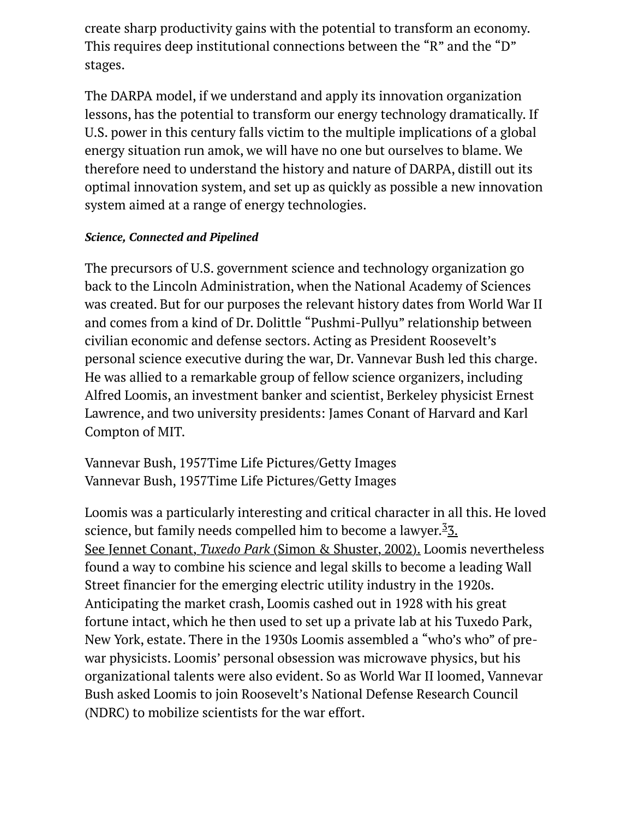create sharp productivity gains with the potential to transform an economy. This requires deep institutional connections between the "R" and the "D" stages.

The DARPA model, if we understand and apply its innovation organization lessons, has the potential to transform our energy technology dramatically. If U.S. power in this century falls victim to the multiple implications of a global energy situation run amok, we will have no one but ourselves to blame. We therefore need to understand the history and nature of DARPA, distill out its optimal innovation system, and set up as quickly as possible a new innovation system aimed at a range of energy technologies.

### *Science, Connected and Pipelined*

The precursors of U.S. government science and technology organization go back to the Lincoln Administration, when the National Academy of Sciences was created. But for our purposes the relevant history dates from World War II and comes from a kind of Dr. Dolittle "Pushmi-Pullyu" relationship between civilian economic and defense sectors. Acting as President Roosevelt's personal science executive during the war, Dr. Vannevar Bush led this charge. He was allied to a remarkable group of fellow science organizers, including Alfred Loomis, an investment banker and scientist, Berkeley physicist Ernest Lawrence, and two university presidents: James Conant of Harvard and Karl Compton of MIT.

Vannevar Bush, 1957Time Life Pictures/Getty Images Vannevar Bush, 1957Time Life Pictures/Getty Images

Loomis was a particularly interesting and critical character in all this. He loved [science, but family needs compelled him to become a lawyer.](http://www.the-american-interest.com/2006/11/01/power-play/#footer)<sup>3</sup>3. See Jennet Conant, *Tuxedo Park* (Simon & Shuster, 2002). Loomis nevertheless found a way to combine his science and legal skills to become a leading Wall Street financier for the emerging electric utility industry in the 1920s. Anticipating the market crash, Loomis cashed out in 1928 with his great fortune intact, which he then used to set up a private lab at his Tuxedo Park, New York, estate. There in the 1930s Loomis assembled a "who's who" of prewar physicists. Loomis' personal obsession was microwave physics, but his organizational talents were also evident. So as World War II loomed, Vannevar Bush asked Loomis to join Roosevelt's National Defense Research Council (NDRC) to mobilize scientists for the war effort.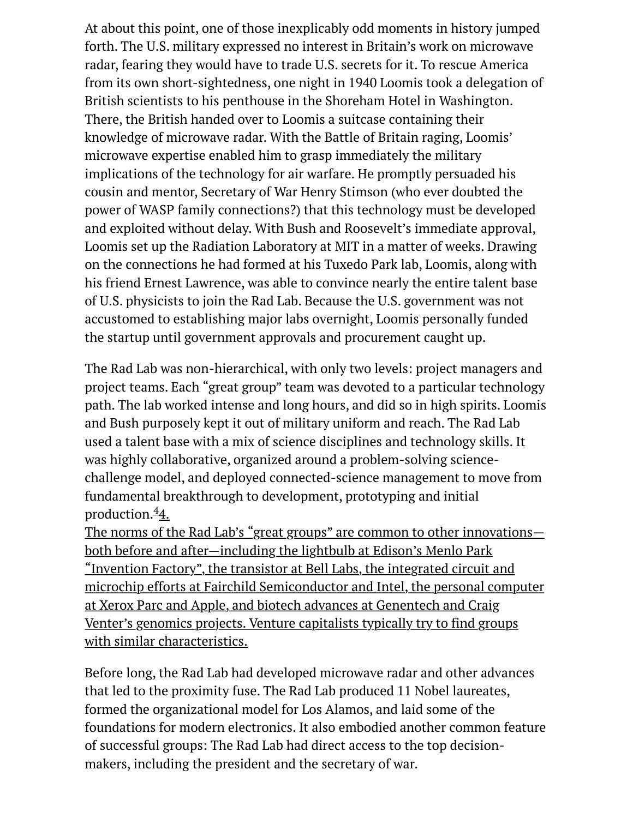At about this point, one of those inexplicably odd moments in history jumped forth. The U.S. military expressed no interest in Britain's work on microwave radar, fearing they would have to trade U.S. secrets for it. To rescue America from its own short-sightedness, one night in 1940 Loomis took a delegation of British scientists to his penthouse in the Shoreham Hotel in Washington. There, the British handed over to Loomis a suitcase containing their knowledge of microwave radar. With the Battle of Britain raging, Loomis' microwave expertise enabled him to grasp immediately the military implications of the technology for air warfare. He promptly persuaded his cousin and mentor, Secretary of War Henry Stimson (who ever doubted the power of WASP family connections?) that this technology must be developed and exploited without delay. With Bush and Roosevelt's immediate approval, Loomis set up the Radiation Laboratory at MIT in a matter of weeks. Drawing on the connections he had formed at his Tuxedo Park lab, Loomis, along with his friend Ernest Lawrence, was able to convince nearly the entire talent base of U.S. physicists to join the Rad Lab. Because the U.S. government was not accustomed to establishing major labs overnight, Loomis personally funded the startup until government approvals and procurement caught up.

The Rad Lab was non-hierarchical, with only two levels: project managers and project teams. Each "great group" team was devoted to a particular technology path. The lab worked intense and long hours, and did so in high spirits. Loomis and Bush purposely kept it out of military uniform and reach. The Rad Lab used a talent base with a mix of science disciplines and technology skills. It was highly collaborative, organized around a problem-solving sciencechallenge model, and deployed connected-science management to move from fundamental breakthrough to development, prototyping and initial production.<sup>4</sup>4.

[The norms of the Rad Lab's "great groups" are common to other innovations](http://www.the-american-interest.com/2006/11/01/power-play/#footer) both before and after—including the lightbulb at Edison's Menlo Park "Invention Factory", the transistor at Bell Labs, the integrated circuit and microchip efforts at Fairchild Semiconductor and Intel, the personal computer at Xerox Parc and Apple, and biotech advances at Genentech and Craig Venter's genomics projects. Venture capitalists typically try to find groups with similar characteristics.

Before long, the Rad Lab had developed microwave radar and other advances that led to the proximity fuse. The Rad Lab produced 11 Nobel laureates, formed the organizational model for Los Alamos, and laid some of the foundations for modern electronics. It also embodied another common feature of successful groups: The Rad Lab had direct access to the top decisionmakers, including the president and the secretary of war.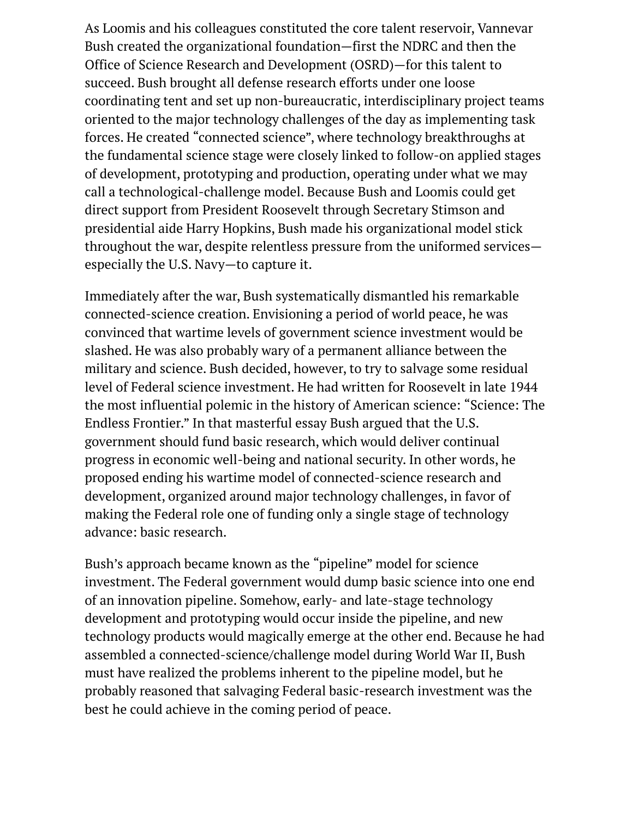As Loomis and his colleagues constituted the core talent reservoir, Vannevar Bush created the organizational foundation—first the NDRC and then the Office of Science Research and Development (OSRD)—for this talent to succeed. Bush brought all defense research efforts under one loose coordinating tent and set up non-bureaucratic, interdisciplinary project teams oriented to the major technology challenges of the day as implementing task forces. He created "connected science", where technology breakthroughs at the fundamental science stage were closely linked to follow-on applied stages of development, prototyping and production, operating under what we may call a technological-challenge model. Because Bush and Loomis could get direct support from President Roosevelt through Secretary Stimson and presidential aide Harry Hopkins, Bush made his organizational model stick throughout the war, despite relentless pressure from the uniformed services especially the U.S. Navy—to capture it.

Immediately after the war, Bush systematically dismantled his remarkable connected-science creation. Envisioning a period of world peace, he was convinced that wartime levels of government science investment would be slashed. He was also probably wary of a permanent alliance between the military and science. Bush decided, however, to try to salvage some residual level of Federal science investment. He had written for Roosevelt in late 1944 the most influential polemic in the history of American science: "Science: The Endless Frontier." In that masterful essay Bush argued that the U.S. government should fund basic research, which would deliver continual progress in economic well-being and national security. In other words, he proposed ending his wartime model of connected-science research and development, organized around major technology challenges, in favor of making the Federal role one of funding only a single stage of technology advance: basic research.

Bush's approach became known as the "pipeline" model for science investment. The Federal government would dump basic science into one end of an innovation pipeline. Somehow, early- and late-stage technology development and prototyping would occur inside the pipeline, and new technology products would magically emerge at the other end. Because he had assembled a connected-science/challenge model during World War II, Bush must have realized the problems inherent to the pipeline model, but he probably reasoned that salvaging Federal basic-research investment was the best he could achieve in the coming period of peace.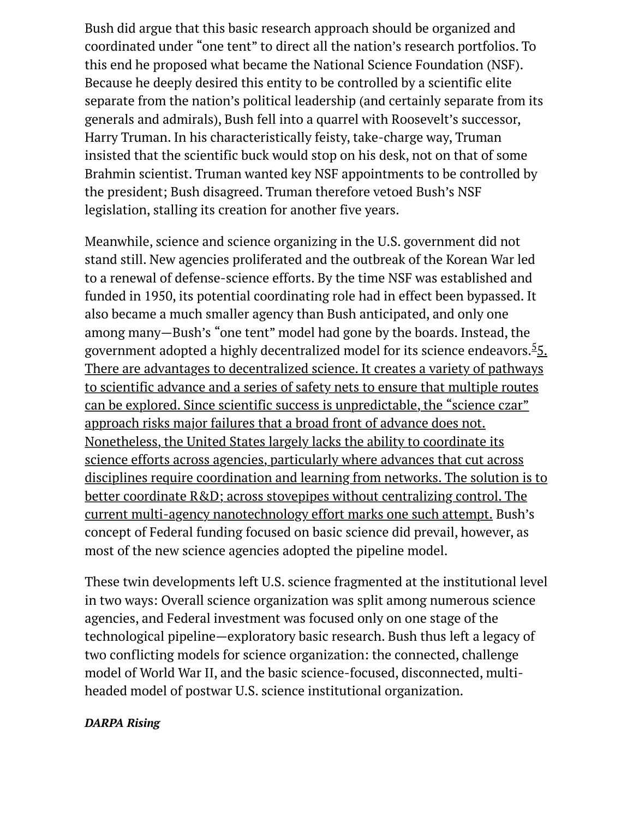Bush did argue that this basic research approach should be organized and coordinated under "one tent" to direct all the nation's research portfolios. To this end he proposed what became the National Science Foundation (NSF). Because he deeply desired this entity to be controlled by a scientific elite separate from the nation's political leadership (and certainly separate from its generals and admirals), Bush fell into a quarrel with Roosevelt's successor, Harry Truman. In his characteristically feisty, take-charge way, Truman insisted that the scientific buck would stop on his desk, not on that of some Brahmin scientist. Truman wanted key NSF appointments to be controlled by the president; Bush disagreed. Truman therefore vetoed Bush's NSF legislation, stalling its creation for another five years.

Meanwhile, science and science organizing in the U.S. government did not stand still. New agencies proliferated and the outbreak of the Korean War led to a renewal of defense-science efforts. By the time NSF was established and funded in 1950, its potential coordinating role had in effect been bypassed. It also became a much smaller agency than Bush anticipated, and only one among many—Bush's "one tent" model had gone by the boards. Instead, the government adopted a highly decentralized model for its science endeavors.<sup>5</sup><u>5.</u> There are advantages to decentralized science. It creates a variety of pathways to scientific advance and a series of safety nets to ensure that multiple routes can be explored. Since scientific success is unpredictable, the "science czar" approach risks major failures that a broad front of advance does not. Nonetheless, the United States largely lacks the ability to coordinate its science efforts across agencies, particularly where advances that cut across [disciplines require coordination and learning from networks. The solution is to](http://www.the-american-interest.com/2006/11/01/power-play/#footer) better coordinate R&D; across stovepipes without centralizing control. The current multi-agency nanotechnology effort marks one such attempt. Bush's concept of Federal funding focused on basic science did prevail, however, as most of the new science agencies adopted the pipeline model.

These twin developments left U.S. science fragmented at the institutional level in two ways: Overall science organization was split among numerous science agencies, and Federal investment was focused only on one stage of the technological pipeline—exploratory basic research. Bush thus left a legacy of two conflicting models for science organization: the connected, challenge model of World War II, and the basic science-focused, disconnected, multiheaded model of postwar U.S. science institutional organization.

#### *DARPA Rising*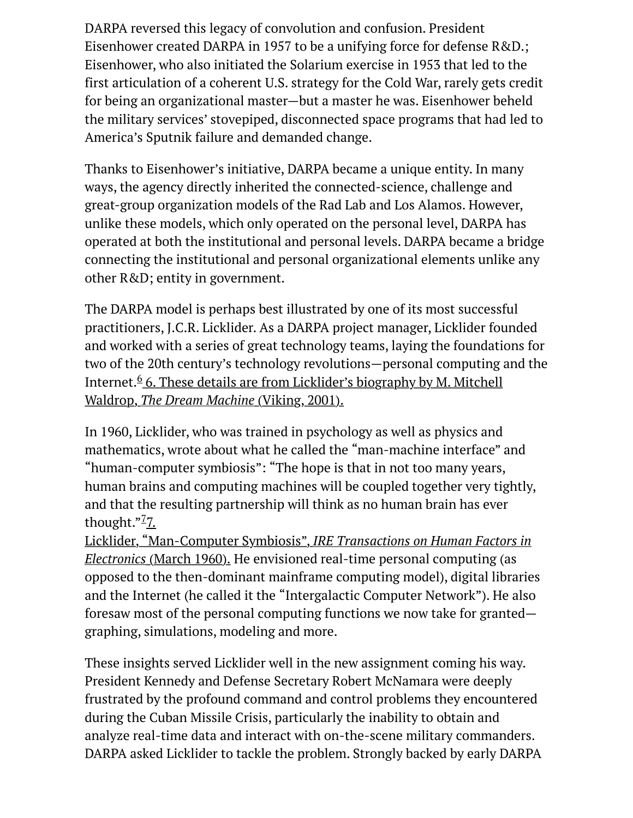DARPA reversed this legacy of convolution and confusion. President Eisenhower created DARPA in 1957 to be a unifying force for defense R&D.; Eisenhower, who also initiated the Solarium exercise in 1953 that led to the first articulation of a coherent U.S. strategy for the Cold War, rarely gets credit for being an organizational master—but a master he was. Eisenhower beheld the military services' stovepiped, disconnected space programs that had led to America's Sputnik failure and demanded change.

Thanks to Eisenhower's initiative, DARPA became a unique entity. In many ways, the agency directly inherited the connected-science, challenge and great-group organization models of the Rad Lab and Los Alamos. However, unlike these models, which only operated on the personal level, DARPA has operated at both the institutional and personal levels. DARPA became a bridge connecting the institutional and personal organizational elements unlike any other R&D; entity in government.

The DARPA model is perhaps best illustrated by one of its most successful practitioners, J.C.R. Licklider. As a DARPA project manager, Licklider founded and worked with a series of great technology teams, laying the foundations for two of the 20th century's technology revolutions—personal computing and the Internet.<sup>6</sup> 6. These details are from Licklider's biography by M. Mitchell Waldrop, *The Dream Machine* (Viking, 2001).

In 1960, Licklider, who was trained in psychology as well as physics and mathematics, wrote about what he called the "man-machine interface" and "human-computer symbiosis": "The hope is that in not too many years, human brains and computing machines will be coupled together very tightly, and that the resulting partnership will think as no human brain has ever thought."<sup>7</sup>7.

Licklider, "Man-Computer Symbiosis", *IRE Transactions on Human Factors in Electronics* [\(March 1960\). He envisioned real-time personal computing \(as](http://www.the-american-interest.com/2006/11/01/power-play/#footer) opposed to the then-dominant mainframe computing model), digital libraries and the Internet (he called it the "Intergalactic Computer Network"). He also foresaw most of the personal computing functions we now take for granted graphing, simulations, modeling and more.

These insights served Licklider well in the new assignment coming his way. President Kennedy and Defense Secretary Robert McNamara were deeply frustrated by the profound command and control problems they encountered during the Cuban Missile Crisis, particularly the inability to obtain and analyze real-time data and interact with on-the-scene military commanders. DARPA asked Licklider to tackle the problem. Strongly backed by early DARPA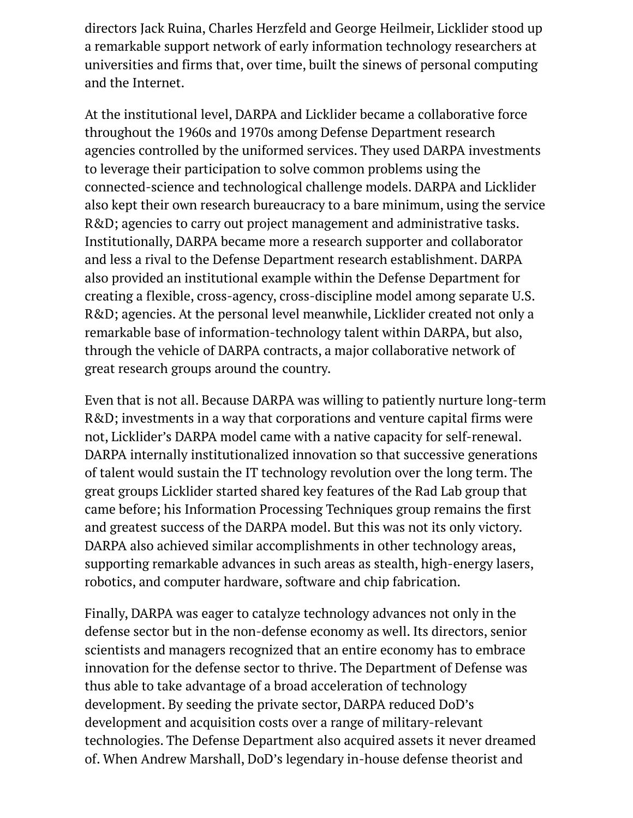directors Jack Ruina, Charles Herzfeld and George Heilmeir, Licklider stood up a remarkable support network of early information technology researchers at universities and firms that, over time, built the sinews of personal computing and the Internet.

At the institutional level, DARPA and Licklider became a collaborative force throughout the 1960s and 1970s among Defense Department research agencies controlled by the uniformed services. They used DARPA investments to leverage their participation to solve common problems using the connected-science and technological challenge models. DARPA and Licklider also kept their own research bureaucracy to a bare minimum, using the service R&D; agencies to carry out project management and administrative tasks. Institutionally, DARPA became more a research supporter and collaborator and less a rival to the Defense Department research establishment. DARPA also provided an institutional example within the Defense Department for creating a flexible, cross-agency, cross-discipline model among separate U.S. R&D; agencies. At the personal level meanwhile, Licklider created not only a remarkable base of information-technology talent within DARPA, but also, through the vehicle of DARPA contracts, a major collaborative network of great research groups around the country.

Even that is not all. Because DARPA was willing to patiently nurture long-term R&D; investments in a way that corporations and venture capital firms were not, Licklider's DARPA model came with a native capacity for self-renewal. DARPA internally institutionalized innovation so that successive generations of talent would sustain the IT technology revolution over the long term. The great groups Licklider started shared key features of the Rad Lab group that came before; his Information Processing Techniques group remains the first and greatest success of the DARPA model. But this was not its only victory. DARPA also achieved similar accomplishments in other technology areas, supporting remarkable advances in such areas as stealth, high-energy lasers, robotics, and computer hardware, software and chip fabrication.

Finally, DARPA was eager to catalyze technology advances not only in the defense sector but in the non-defense economy as well. Its directors, senior scientists and managers recognized that an entire economy has to embrace innovation for the defense sector to thrive. The Department of Defense was thus able to take advantage of a broad acceleration of technology development. By seeding the private sector, DARPA reduced DoD's development and acquisition costs over a range of military-relevant technologies. The Defense Department also acquired assets it never dreamed of. When Andrew Marshall, DoD's legendary in-house defense theorist and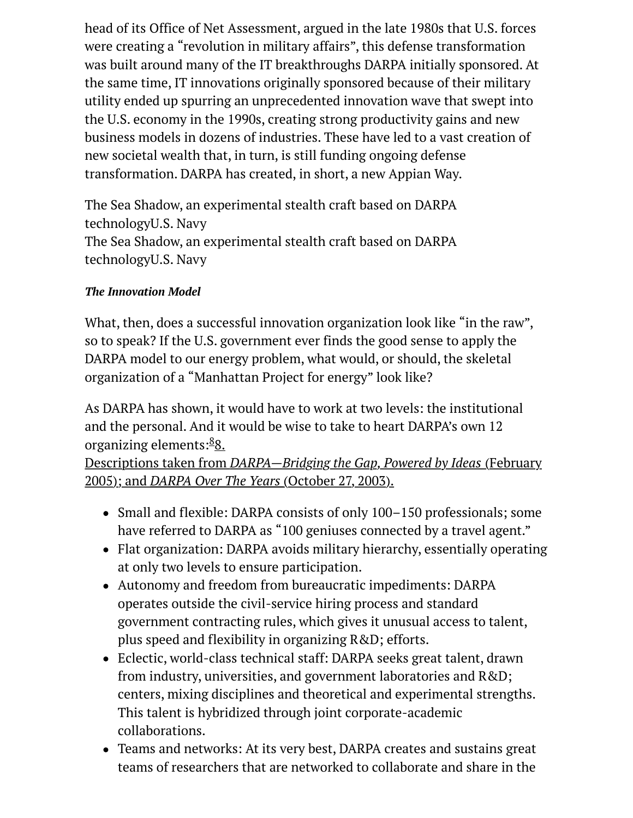head of its Office of Net Assessment, argued in the late 1980s that U.S. forces were creating a "revolution in military affairs", this defense transformation was built around many of the IT breakthroughs DARPA initially sponsored. At the same time, IT innovations originally sponsored because of their military utility ended up spurring an unprecedented innovation wave that swept into the U.S. economy in the 1990s, creating strong productivity gains and new business models in dozens of industries. These have led to a vast creation of new societal wealth that, in turn, is still funding ongoing defense transformation. DARPA has created, in short, a new Appian Way.

The Sea Shadow, an experimental stealth craft based on DARPA technologyU.S. Navy The Sea Shadow, an experimental stealth craft based on DARPA technologyU.S. Navy

# *The Innovation Model*

What, then, does a successful innovation organization look like "in the raw", so to speak? If the U.S. government ever finds the good sense to apply the DARPA model to our energy problem, what would, or should, the skeletal organization of a "Manhattan Project for energy" look like?

As DARPA has shown, it would have to work at two levels: the institutional and the personal. And it would be wise to take to heart DARPA's own 12 organizing elements:<sup>8</sup>8.

Descriptions taken from *[DARPA—Bridging the Gap, Powered by Ideas](http://www.the-american-interest.com/2006/11/01/power-play/#footer)* (February 2005); and *DARPA Over The Years* (October 27, 2003).

- Small and flexible: DARPA consists of only 100–150 professionals; some have referred to DARPA as "100 geniuses connected by a travel agent."
- Flat organization: DARPA avoids military hierarchy, essentially operating at only two levels to ensure participation.
- Autonomy and freedom from bureaucratic impediments: DARPA operates outside the civil-service hiring process and standard government contracting rules, which gives it unusual access to talent, plus speed and flexibility in organizing R&D; efforts.
- Eclectic, world-class technical staff: DARPA seeks great talent, drawn from industry, universities, and government laboratories and R&D; centers, mixing disciplines and theoretical and experimental strengths. This talent is hybridized through joint corporate-academic collaborations.
- Teams and networks: At its very best, DARPA creates and sustains great teams of researchers that are networked to collaborate and share in the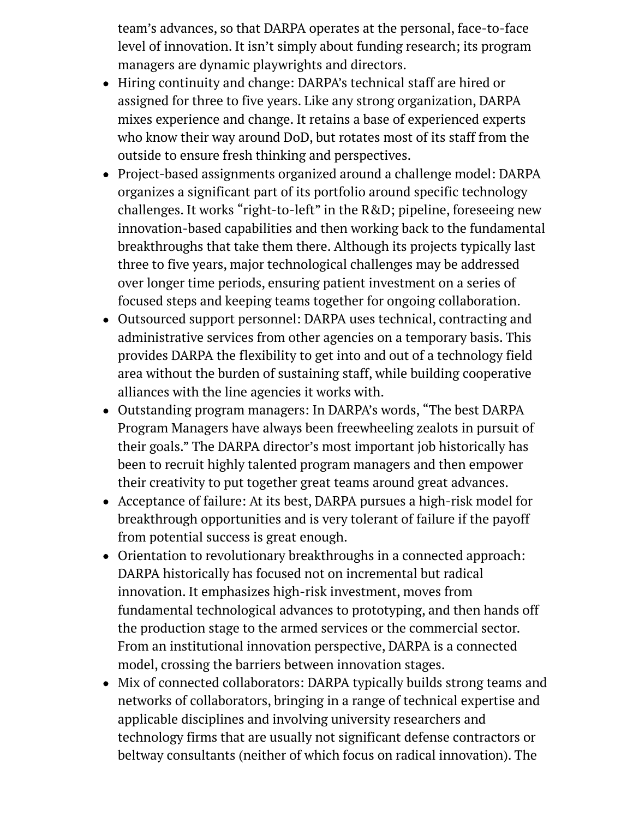team's advances, so that DARPA operates at the personal, face-to-face level of innovation. It isn't simply about funding research; its program managers are dynamic playwrights and directors.

- Hiring continuity and change: DARPA's technical staff are hired or assigned for three to five years. Like any strong organization, DARPA mixes experience and change. It retains a base of experienced experts who know their way around DoD, but rotates most of its staff from the outside to ensure fresh thinking and perspectives.
- Project-based assignments organized around a challenge model: DARPA organizes a significant part of its portfolio around specific technology challenges. It works "right-to-left" in the R&D; pipeline, foreseeing new innovation-based capabilities and then working back to the fundamental breakthroughs that take them there. Although its projects typically last three to five years, major technological challenges may be addressed over longer time periods, ensuring patient investment on a series of focused steps and keeping teams together for ongoing collaboration.
- Outsourced support personnel: DARPA uses technical, contracting and administrative services from other agencies on a temporary basis. This provides DARPA the flexibility to get into and out of a technology field area without the burden of sustaining staff, while building cooperative alliances with the line agencies it works with.
- Outstanding program managers: In DARPA's words, "The best DARPA Program Managers have always been freewheeling zealots in pursuit of their goals." The DARPA director's most important job historically has been to recruit highly talented program managers and then empower their creativity to put together great teams around great advances.
- Acceptance of failure: At its best, DARPA pursues a high-risk model for breakthrough opportunities and is very tolerant of failure if the payoff from potential success is great enough.
- Orientation to revolutionary breakthroughs in a connected approach: DARPA historically has focused not on incremental but radical innovation. It emphasizes high-risk investment, moves from fundamental technological advances to prototyping, and then hands off the production stage to the armed services or the commercial sector. From an institutional innovation perspective, DARPA is a connected model, crossing the barriers between innovation stages.
- Mix of connected collaborators: DARPA typically builds strong teams and networks of collaborators, bringing in a range of technical expertise and applicable disciplines and involving university researchers and technology firms that are usually not significant defense contractors or beltway consultants (neither of which focus on radical innovation). The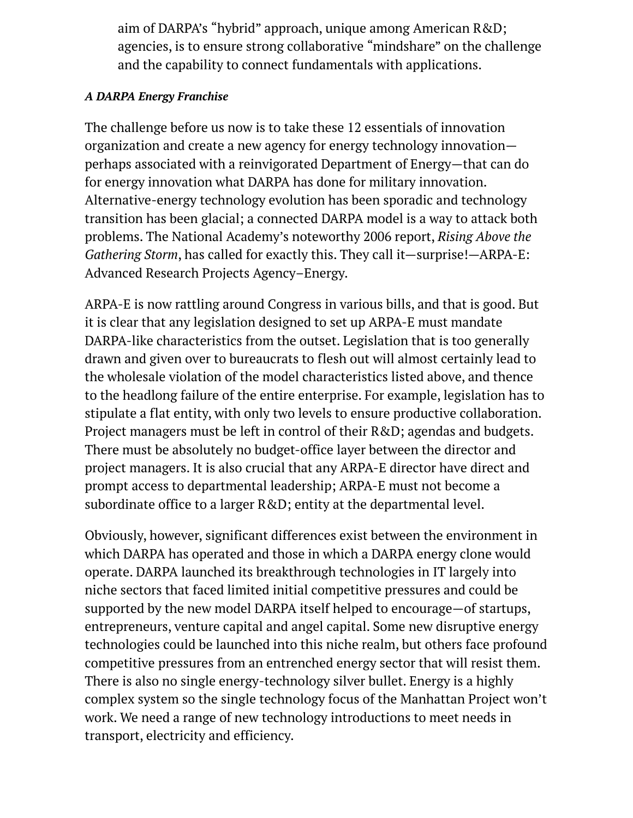aim of DARPA's "hybrid" approach, unique among American R&D; agencies, is to ensure strong collaborative "mindshare" on the challenge and the capability to connect fundamentals with applications.

### *A DARPA Energy Franchise*

The challenge before us now is to take these 12 essentials of innovation organization and create a new agency for energy technology innovation perhaps associated with a reinvigorated Department of Energy—that can do for energy innovation what DARPA has done for military innovation. Alternative-energy technology evolution has been sporadic and technology transition has been glacial; a connected DARPA model is a way to attack both problems. The National Academy's noteworthy 2006 report, *Rising Above the Gathering Storm*, has called for exactly this. They call it—surprise!—ARPA-E: Advanced Research Projects Agency–Energy.

ARPA-E is now rattling around Congress in various bills, and that is good. But it is clear that any legislation designed to set up ARPA-E must mandate DARPA-like characteristics from the outset. Legislation that is too generally drawn and given over to bureaucrats to flesh out will almost certainly lead to the wholesale violation of the model characteristics listed above, and thence to the headlong failure of the entire enterprise. For example, legislation has to stipulate a flat entity, with only two levels to ensure productive collaboration. Project managers must be left in control of their R&D; agendas and budgets. There must be absolutely no budget-office layer between the director and project managers. It is also crucial that any ARPA-E director have direct and prompt access to departmental leadership; ARPA-E must not become a subordinate office to a larger R&D; entity at the departmental level.

Obviously, however, significant differences exist between the environment in which DARPA has operated and those in which a DARPA energy clone would operate. DARPA launched its breakthrough technologies in IT largely into niche sectors that faced limited initial competitive pressures and could be supported by the new model DARPA itself helped to encourage—of startups, entrepreneurs, venture capital and angel capital. Some new disruptive energy technologies could be launched into this niche realm, but others face profound competitive pressures from an entrenched energy sector that will resist them. There is also no single energy-technology silver bullet. Energy is a highly complex system so the single technology focus of the Manhattan Project won't work. We need a range of new technology introductions to meet needs in transport, electricity and efficiency.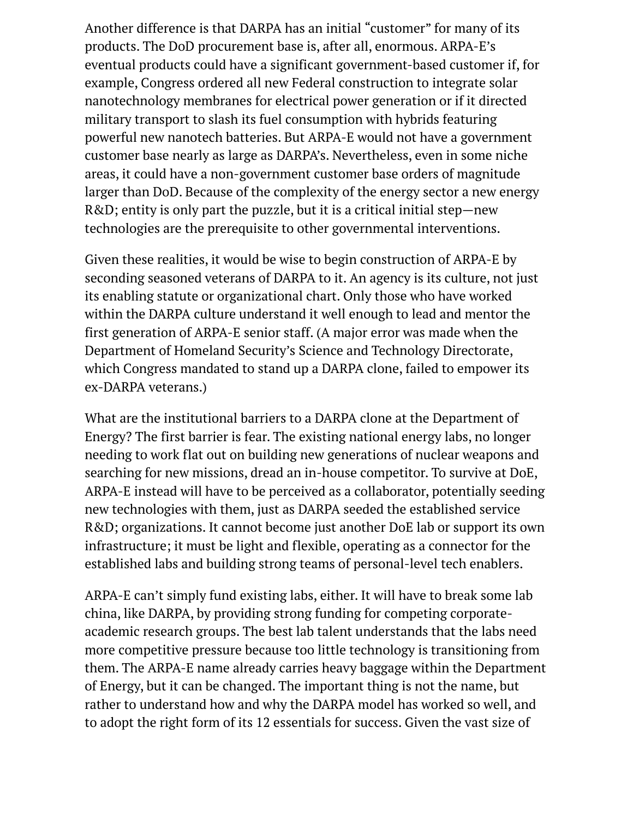Another difference is that DARPA has an initial "customer" for many of its products. The DoD procurement base is, after all, enormous. ARPA-E's eventual products could have a significant government-based customer if, for example, Congress ordered all new Federal construction to integrate solar nanotechnology membranes for electrical power generation or if it directed military transport to slash its fuel consumption with hybrids featuring powerful new nanotech batteries. But ARPA-E would not have a government customer base nearly as large as DARPA's. Nevertheless, even in some niche areas, it could have a non-government customer base orders of magnitude larger than DoD. Because of the complexity of the energy sector a new energy R&D; entity is only part the puzzle, but it is a critical initial step—new technologies are the prerequisite to other governmental interventions.

Given these realities, it would be wise to begin construction of ARPA-E by seconding seasoned veterans of DARPA to it. An agency is its culture, not just its enabling statute or organizational chart. Only those who have worked within the DARPA culture understand it well enough to lead and mentor the first generation of ARPA-E senior staff. (A major error was made when the Department of Homeland Security's Science and Technology Directorate, which Congress mandated to stand up a DARPA clone, failed to empower its ex-DARPA veterans.)

What are the institutional barriers to a DARPA clone at the Department of Energy? The first barrier is fear. The existing national energy labs, no longer needing to work flat out on building new generations of nuclear weapons and searching for new missions, dread an in-house competitor. To survive at DoE, ARPA-E instead will have to be perceived as a collaborator, potentially seeding new technologies with them, just as DARPA seeded the established service R&D; organizations. It cannot become just another DoE lab or support its own infrastructure; it must be light and flexible, operating as a connector for the established labs and building strong teams of personal-level tech enablers.

ARPA-E can't simply fund existing labs, either. It will have to break some lab china, like DARPA, by providing strong funding for competing corporateacademic research groups. The best lab talent understands that the labs need more competitive pressure because too little technology is transitioning from them. The ARPA-E name already carries heavy baggage within the Department of Energy, but it can be changed. The important thing is not the name, but rather to understand how and why the DARPA model has worked so well, and to adopt the right form of its 12 essentials for success. Given the vast size of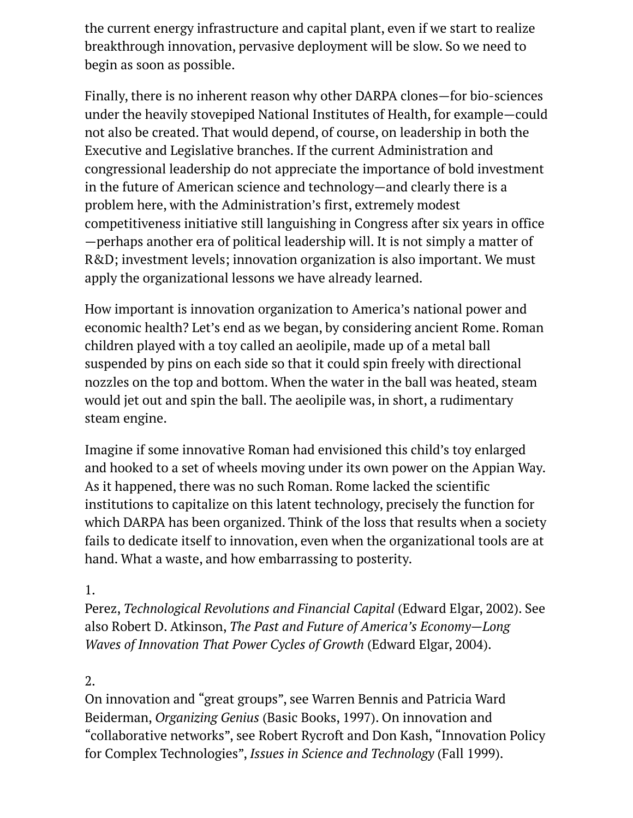the current energy infrastructure and capital plant, even if we start to realize breakthrough innovation, pervasive deployment will be slow. So we need to begin as soon as possible.

Finally, there is no inherent reason why other DARPA clones—for bio-sciences under the heavily stovepiped National Institutes of Health, for example—could not also be created. That would depend, of course, on leadership in both the Executive and Legislative branches. If the current Administration and congressional leadership do not appreciate the importance of bold investment in the future of American science and technology—and clearly there is a problem here, with the Administration's first, extremely modest competitiveness initiative still languishing in Congress after six years in office —perhaps another era of political leadership will. It is not simply a matter of R&D; investment levels; innovation organization is also important. We must apply the organizational lessons we have already learned.

How important is innovation organization to America's national power and economic health? Let's end as we began, by considering ancient Rome. Roman children played with a toy called an aeolipile, made up of a metal ball suspended by pins on each side so that it could spin freely with directional nozzles on the top and bottom. When the water in the ball was heated, steam would jet out and spin the ball. The aeolipile was, in short, a rudimentary steam engine.

Imagine if some innovative Roman had envisioned this child's toy enlarged and hooked to a set of wheels moving under its own power on the Appian Way. As it happened, there was no such Roman. Rome lacked the scientific institutions to capitalize on this latent technology, precisely the function for which DARPA has been organized. Think of the loss that results when a society fails to dedicate itself to innovation, even when the organizational tools are at hand. What a waste, and how embarrassing to posterity.

# 1.

Perez, *Technological Revolutions and Financial Capital* (Edward Elgar, 2002). See also Robert D. Atkinson, *The Past and Future of America's Economy—Long Waves of Innovation That Power Cycles of Growth* (Edward Elgar, 2004).

# 2.

On innovation and "great groups", see Warren Bennis and Patricia Ward Beiderman, *Organizing Genius* (Basic Books, 1997). On innovation and "collaborative networks", see Robert Rycroft and Don Kash, "Innovation Policy for Complex Technologies", *Issues in Science and Technology* (Fall 1999).